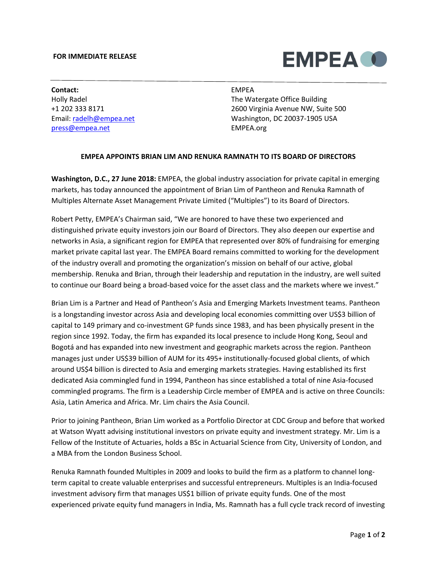## **FOR IMMEDIATE RELEASE**



**Contact:** Holly Radel +1 202 333 8171 Email: [radelh@empea.net](mailto:radelh@empea.net) [press@empea.net](mailto:press@empea.net)

## EMPEA

The Watergate Office Building 2600 Virginia Avenue NW, Suite 500 Washington, DC 20037-1905 USA EMPEA.org

## **EMPEA APPOINTS BRIAN LIM AND RENUKA RAMNATH TO ITS BOARD OF DIRECTORS**

**Washington, D.C., 27 June 2018:** EMPEA, the global industry association for private capital in emerging markets, has today announced the appointment of Brian Lim of Pantheon and Renuka Ramnath of Multiples Alternate Asset Management Private Limited ("Multiples") to its Board of Directors.

Robert Petty, EMPEA's Chairman said, "We are honored to have these two experienced and distinguished private equity investors join our Board of Directors. They also deepen our expertise and networks in Asia, a significant region for EMPEA that represented over 80% of fundraising for emerging market private capital last year. The EMPEA Board remains committed to working for the development of the industry overall and promoting the organization's mission on behalf of our active, global membership. Renuka and Brian, through their leadership and reputation in the industry, are well suited to continue our Board being a broad-based voice for the asset class and the markets where we invest."

Brian Lim is a Partner and Head of Pantheon's Asia and Emerging Markets Investment teams. Pantheon is a longstanding investor across Asia and developing local economies committing over US\$3 billion of capital to 149 primary and co-investment GP funds since 1983, and has been physically present in the region since 1992. Today, the firm has expanded its local presence to include Hong Kong, Seoul and Bogotá and has expanded into new investment and geographic markets across the region. Pantheon manages just under US\$39 billion of AUM for its 495+ institutionally-focused global clients, of which around US\$4 billion is directed to Asia and emerging markets strategies. Having established its first dedicated Asia commingled fund in 1994, Pantheon has since established a total of nine Asia-focused commingled programs. The firm is a Leadership Circle member of EMPEA and is active on three Councils: Asia, Latin America and Africa. Mr. Lim chairs the Asia Council.

Prior to joining Pantheon, Brian Lim worked as a Portfolio Director at CDC Group and before that worked at Watson Wyatt advising institutional investors on private equity and investment strategy. Mr. Lim is a Fellow of the Institute of Actuaries, holds a BSc in Actuarial Science from City, University of London, and a MBA from the London Business School.

Renuka Ramnath founded Multiples in 2009 and looks to build the firm as a platform to channel longterm capital to create valuable enterprises and successful entrepreneurs. Multiples is an India-focused investment advisory firm that manages US\$1 billion of private equity funds. One of the most experienced private equity fund managers in India, Ms. Ramnath has a full cycle track record of investing